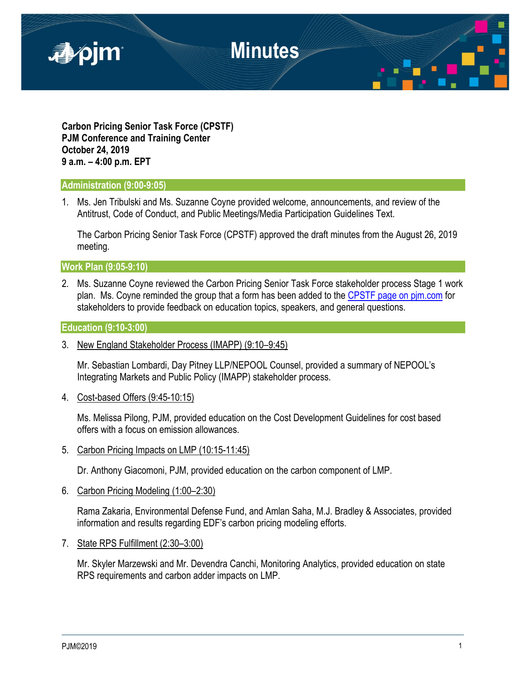

**Carbon Pricing Senior Task Force (CPSTF) PJM Conference and Training Center October 24, 2019 9 a.m. – 4:00 p.m. EPT**

#### **Administration (9:00-9:05)**

1. Ms. Jen Tribulski and Ms. Suzanne Coyne provided welcome, announcements, and review of the Antitrust, Code of Conduct, and Public Meetings/Media Participation Guidelines Text.

The Carbon Pricing Senior Task Force (CPSTF) approved the draft minutes from the August 26, 2019 meeting.

**Work Plan (9:05-9:10)**

2. Ms. Suzanne Coyne reviewed the Carbon Pricing Senior Task Force stakeholder process Stage 1 work plan. Ms. Coyne reminded the group that a form has been added to the [CPSTF page on pjm.com](https://www.pjm.com/committees-and-groups/task-forces/cpstf.aspx) for stakeholders to provide feedback on education topics, speakers, and general questions.

#### **Education (9:10-3:00)**

3. New England Stakeholder Process (IMAPP) (9:10–9:45)

Mr. Sebastian Lombardi, Day Pitney LLP/NEPOOL Counsel, provided a summary of NEPOOL's Integrating Markets and Public Policy (IMAPP) stakeholder process.

4. Cost-based Offers (9:45-10:15)

Ms. Melissa Pilong, PJM, provided education on the Cost Development Guidelines for cost based offers with a focus on emission allowances.

5. Carbon Pricing Impacts on LMP (10:15-11:45)

Dr. Anthony Giacomoni, PJM, provided education on the carbon component of LMP.

6. Carbon Pricing Modeling (1:00–2:30)

Rama Zakaria, Environmental Defense Fund, and Amlan Saha, M.J. Bradley & Associates, provided information and results regarding EDF's carbon pricing modeling efforts.

7. State RPS Fulfillment (2:30–3:00)

Mr. Skyler Marzewski and Mr. Devendra Canchi, Monitoring Analytics, provided education on state RPS requirements and carbon adder impacts on LMP.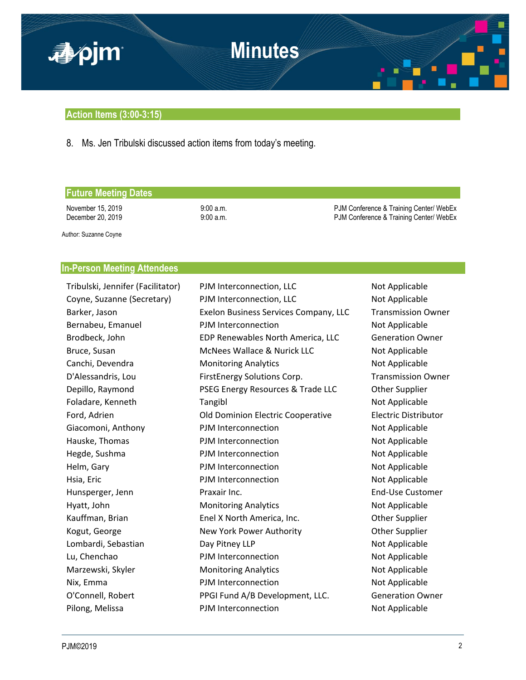

### **Action Items (3:00-3:15)**

8. Ms. Jen Tribulski discussed action items from today's meeting.

### **Future Meeting Dates**

November 15, 2019 9:00 a.m. 9:00 a.m.<br>December 20, 2019 9:00 a.m. 9:00 a.m. PJM Conference & Training Center/ WebEx PJM Conference & Training Center/ WebEx

Author: Suzanne Coyne

## **In-Person Meeting Attendees**

| Tribulski, Jennifer (Facilitator) | PJM Interconnection, LLC              | Not Applicable              |
|-----------------------------------|---------------------------------------|-----------------------------|
| Coyne, Suzanne (Secretary)        | PJM Interconnection, LLC              | Not Applicable              |
| Barker, Jason                     | Exelon Business Services Company, LLC | <b>Transmission Owner</b>   |
| Bernabeu, Emanuel                 | PJM Interconnection                   | Not Applicable              |
| Brodbeck, John                    | EDP Renewables North America, LLC     | <b>Generation Owner</b>     |
| Bruce, Susan                      | McNees Wallace & Nurick LLC           | Not Applicable              |
| Canchi, Devendra                  | <b>Monitoring Analytics</b>           | Not Applicable              |
| D'Alessandris, Lou                | FirstEnergy Solutions Corp.           | <b>Transmission Owner</b>   |
| Depillo, Raymond                  | PSEG Energy Resources & Trade LLC     | Other Supplier              |
| Foladare, Kenneth                 | Tangibl                               | Not Applicable              |
| Ford, Adrien                      | Old Dominion Electric Cooperative     | <b>Electric Distributor</b> |
| Giacomoni, Anthony                | PJM Interconnection                   | Not Applicable              |
| Hauske, Thomas                    | PJM Interconnection                   | Not Applicable              |
| Hegde, Sushma                     | PJM Interconnection                   | Not Applicable              |
| Helm, Gary                        | PJM Interconnection                   | Not Applicable              |
| Hsia, Eric                        | PJM Interconnection                   | Not Applicable              |
| Hunsperger, Jenn                  | Praxair Inc.                          | <b>End-Use Customer</b>     |
| Hyatt, John                       | <b>Monitoring Analytics</b>           | Not Applicable              |
| Kauffman, Brian                   | Enel X North America, Inc.            | Other Supplier              |
| Kogut, George                     | New York Power Authority              | Other Supplier              |
| Lombardi, Sebastian               | Day Pitney LLP                        | Not Applicable              |
| Lu, Chenchao                      | PJM Interconnection                   | Not Applicable              |
| Marzewski, Skyler                 | <b>Monitoring Analytics</b>           | Not Applicable              |
| Nix, Emma                         | PJM Interconnection                   | Not Applicable              |
| O'Connell, Robert                 | PPGI Fund A/B Development, LLC.       | <b>Generation Owner</b>     |
| Pilong, Melissa                   | PJM Interconnection                   | Not Applicable              |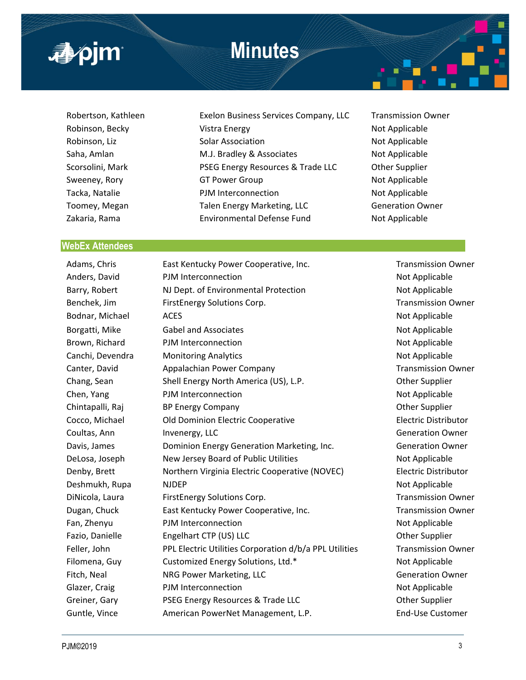# **Minutes**



- 
- Robertson, Kathleen Exelon Business Services Company, LLC Transmission Owner Robinson, Becky **Note 20** Vistra Energy Not Applicable Not Applicable Robinson, Liz **Solar Association** Not Applicable Not Applicable Saha, Amlan **M.J. Bradley & Associates** Not Applicable Scorsolini, Mark PSEG Energy Resources & Trade LLC Other Supplier Sweeney, Rory **GT Power Group CONDUCT And Applicable** Not Applicable Tacka, Natalie **Note Applicable** PJM Interconnection **Not Applicable** Toomey, Megan Talen Energy Marketing, LLC Generation Owner Zakaria, Rama Environmental Defense Fund Not Applicable
- 

#### **WebEx Attendees**

Adams, Chris **East Kentucky Power Cooperative, Inc.** Transmission Owner Anders, David **PJM Interconnection** and the Not Applicable Not Applicable Barry, Robert NJ Dept. of Environmental Protection Not Applicable Benchek, Jim FirstEnergy Solutions Corp. Transmission Owner Bodnar, Michael ACES ACES ACES ACCOMENT ACCESSES AND ACCESSES AND APPLICAble RESOURCE ACCESSES AND ACCESSES AND ACCESSED ACCESSED AND ACCESSED ACCESSED ACCESSED ACCESSED ACCESSED AND ACCESSED ACCESSED ACCESSED ACCESSED ACC Borgatti, Mike Gabel and Associates Not Applicable Not Applicable Brown, Richard PJM Interconnection Not Applicable Canchi, Devendra Monitoring Analytics Not Applicable Not Applicable Canter, David Appalachian Power Company Transmission Owner Chang, Sean Shell Energy North America (US), L.P. Chang, Sean Other Supplier Chen, Yang PJM Interconnection Not Applicable Not Applicable Chintapalli, Raj BP Energy Company Chintapalli, Raj BP Energy Company Chintapalli, Raj BP Energy Company Cocco, Michael **Old Dominion Electric Cooperative Contact Cooperative** Electric Distributor Coultas, Ann Invenergy, LLC Coultas, Ann Invenergy, LLC Davis, James **Dominion Energy Generation Marketing, Inc.** Generation Owner DeLosa, Joseph New Jersey Board of Public Utilities Not Applicable Not Applicable Denby, Brett **Northern Virginia Electric Cooperative (NOVEC)** Electric Distributor Deshmukh, Rupa NJDEP Not Applicable Not Applicable DiNicola, Laura FirstEnergy Solutions Corp. Transmission Owner Dugan, Chuck East Kentucky Power Cooperative, Inc. Transmission Owner Fan, Zhenyu PJM Interconnection Not Applicable Fazio, Danielle Engelhart CTP (US) LLC CHEEN COMENT COMENT COMENT CONTROLLER CHEEN COMENT COMENT COMENT COMENT Feller, John PPL Electric Utilities Corporation d/b/a PPL Utilities Transmission Owner Filomena, Guy Customized Energy Solutions, Ltd.\* Not Applicable Fitch, Neal **NRG Power Marketing, LLC NRG Power Marketing, LLC** Generation Owner Glazer, Craig **PJM Interconnection Connection** Not Applicable Greiner, Gary **PSEG Energy Resources & Trade LLC Communist Construction** Other Supplier Guntle, Vince **American PowerNet Management, L.P.** End-Use Customer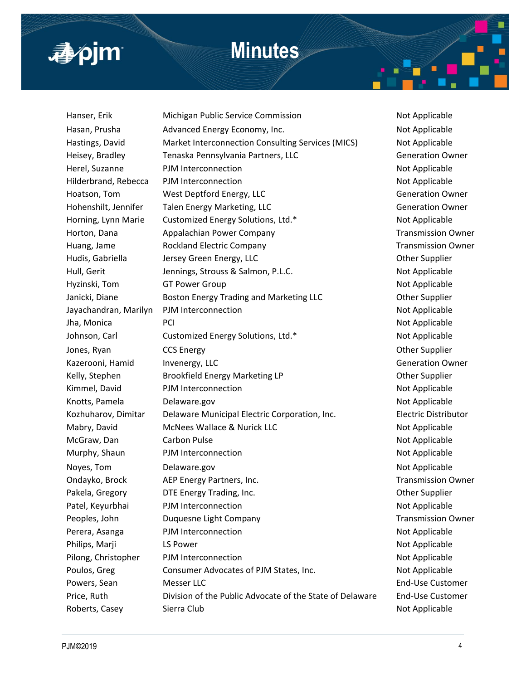

## **Minutes**

Hanser, Erik **Michigan Public Service Commission** Not Applicable Hasan, Prusha **Advanced Energy Economy, Inc.** Not Applicable Hastings, David Market Interconnection Consulting Services (MICS) Not Applicable Heisey, Bradley **Tenaska Pennsylvania Partners, LLC** Chromoster Communist Communist Communist Communist Communist Herel, Suzanne **PJM Interconnection** Not Applicable Hilderbrand, Rebecca PJM Interconnection Not Applicable Hoatson, Tom West Deptford Energy, LLC Channel Generation Owner Hohenshilt, Jennifer Talen Energy Marketing, LLC **Generation Owner** Generation Owner Horning, Lynn Marie Customized Energy Solutions, Ltd.\* Not Applicable Horton, Dana **Appalachian Power Company Company** Transmission Owner Huang, Jame **Rockland Electric Company Rockland Electric Company Rockland Electric Company Transmission Owner** Hudis, Gabriella Jersey Green Energy, LLC **Channel Communist Contract Contract Contract Contract Contract Contract** Hull, Gerit **Figure 3. Inc. Accompany** Jennings, Strouss & Salmon, P.L.C. Not Applicable Hyzinski, Tom GT Power Group Not Applicable Not Applicable Janicki, Diane **Boston Energy Trading and Marketing LLC Example 1** Other Supplier Jayachandran, Marilyn PJM Interconnection Not Applicable Not Applicable Jha, Monica PCI Not Applicable Johnson, Carl Customized Energy Solutions, Ltd.\* Not Applicable Jones, Ryan CCS Energy CCS Energy COMERCIAL CONSUMING CONSUMING CONSUMING CONSUMING CONSUMING CONSUMING CONSUMING CONSUMING CONSUMING CONSUMING CONSUMING CONSUMING CONSUMING CONSUMING CONSUMING CONSUMING CONSUMING CONSUMIN Kazerooni, Hamid Invenergy, LLC **Generation Communisties** Generation Owner Kelly, Stephen Brookfield Energy Marketing LP Channel Communist Communist Communist Communist Communist Communist Communist Communist Communist Communist Communist Communist Communist Communist Communist Communist Communis Kimmel, David **PJM Interconnection** Not Applicable Knotts, Pamela **Delaware.gov Not Applicable Not Applicable** Kozhuharov, Dimitar Delaware Municipal Electric Corporation, Inc. Electric Distributor Mabry, David **McNees Wallace & Nurick LLC** Not Applicable McGraw, Dan Carbon Pulse Not Applicable Not Applicable Murphy, Shaun PJM Interconnection **Not Applicable** Not Applicable Noyes, Tom **Delaware.gov** Not Applicable Not Applicable Ondayko, Brock AEP Energy Partners, Inc. Transmission Owner Pakela, Gregory **DTE Energy Trading, Inc. Example 2** Other Supplier Patel, Keyurbhai PJM Interconnection Not Applicable Peoples, John **Duquesne Light Company Company** Transmission Owner Perera, Asanga PJM Interconnection Not Applicable Philips, Marji **Republicable** LS Power Not Applicable Not Applicable Pilong, Christopher PJM Interconnection Not Applicable Not Applicable Poulos, Greg Consumer Advocates of PJM States, Inc. Not Applicable Powers, Sean Messer LLC **Messer LLC End-Use Customer** Music Customer Price, Ruth Division of the Public Advocate of the State of Delaware End-Use Customer Roberts, Casey Sierra Club Not Applicable Not Applicable